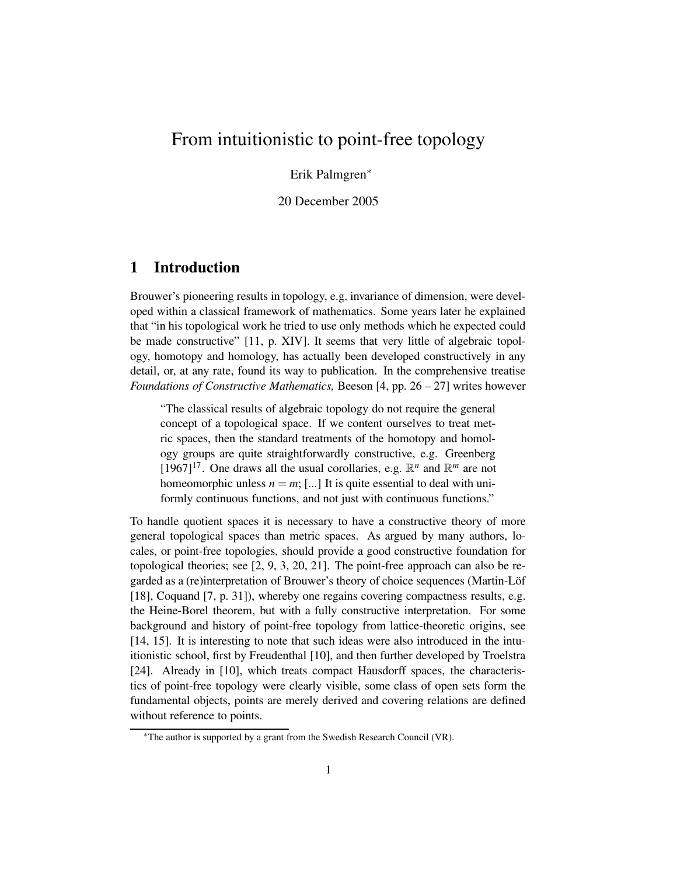# From intuitionistic to point-free topology

Erik Palmgren<sup>∗</sup>

20 December 2005

## **1 Introduction**

Brouwer's pioneering results in topology, e.g. invariance of dimension, were developed within a classical framework of mathematics. Some years later he explained that "in his topological work he tried to use only methods which he expected could be made constructive" [11, p. XIV]. It seems that very little of algebraic topology, homotopy and homology, has actually been developed constructively in any detail, or, at any rate, found its way to publication. In the comprehensive treatise *Foundations of Constructive Mathematics,* Beeson [4, pp. 26 – 27] writes however

"The classical results of algebraic topology do not require the general concept of a topological space. If we content ourselves to treat metric spaces, then the standard treatments of the homotopy and homology groups are quite straightforwardly constructive, e.g. Greenberg  $[1967]^{17}$ . One draws all the usual corollaries, e.g.  $\mathbb{R}^n$  and  $\mathbb{R}^m$  are not homeomorphic unless  $n = m$ ; [...] It is quite essential to deal with uniformly continuous functions, and not just with continuous functions."

To handle quotient spaces it is necessary to have a constructive theory of more general topological spaces than metric spaces. As argued by many authors, locales, or point-free topologies, should provide a good constructive foundation for topological theories; see [2, 9, 3, 20, 21]. The point-free approach can also be regarded as a (re)interpretation of Brouwer's theory of choice sequences (Martin-Löf [18], Coquand [7, p. 31]), whereby one regains covering compactness results, e.g. the Heine-Borel theorem, but with a fully constructive interpretation. For some background and history of point-free topology from lattice-theoretic origins, see [14, 15]. It is interesting to note that such ideas were also introduced in the intuitionistic school, first by Freudenthal [10], and then further developed by Troelstra [24]. Already in [10], which treats compact Hausdorff spaces, the characteristics of point-free topology were clearly visible, some class of open sets form the fundamental objects, points are merely derived and covering relations are defined without reference to points.

<sup>∗</sup>The author is supported by a grant from the Swedish Research Council (VR).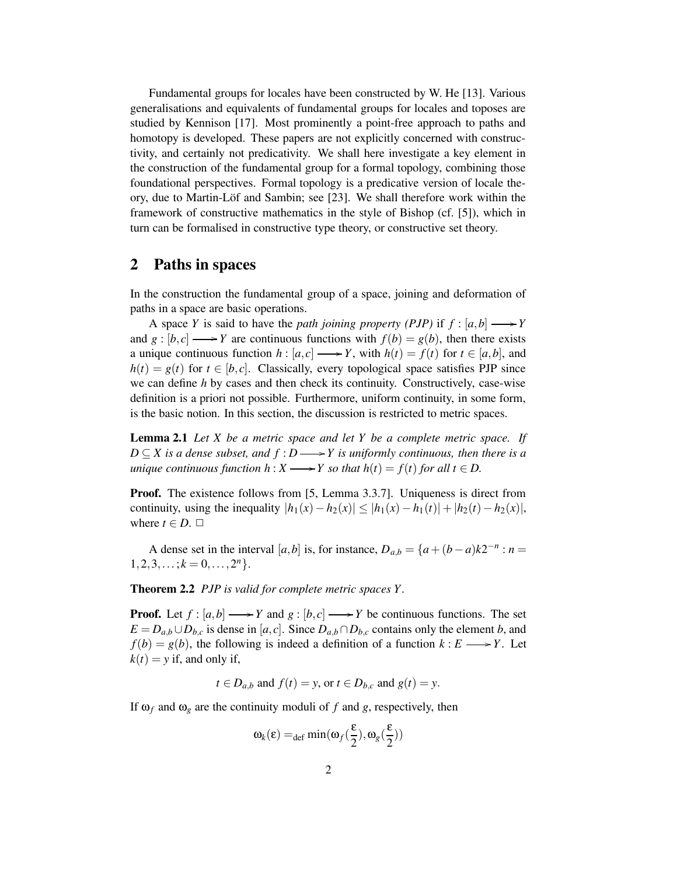Fundamental groups for locales have been constructed by W. He [13]. Various generalisations and equivalents of fundamental groups for locales and toposes are studied by Kennison [17]. Most prominently a point-free approach to paths and homotopy is developed. These papers are not explicitly concerned with constructivity, and certainly not predicativity. We shall here investigate a key element in the construction of the fundamental group for a formal topology, combining those foundational perspectives. Formal topology is a predicative version of locale theory, due to Martin-Löf and Sambin; see [23]. We shall therefore work within the framework of constructive mathematics in the style of Bishop (cf. [5]), which in turn can be formalised in constructive type theory, or constructive set theory.

### **2 Paths in spaces**

In the construction the fundamental group of a space, joining and deformation of paths in a space are basic operations.

A space *Y* is said to have the *path joining property (PJP)* if  $f : [a,b] \longrightarrow Y$ and  $g: [b, c] \longrightarrow Y$  are continuous functions with  $f(b) = g(b)$ , then there exists a unique continuous function  $h : [a, c] \longrightarrow Y$ , with  $h(t) = f(t)$  for  $t \in [a, b]$ , and  $h(t) = g(t)$  for  $t \in [b, c]$ . Classically, every topological space satisfies PJP since we can define *h* by cases and then check its continuity. Constructively, case-wise definition is a priori not possible. Furthermore, uniform continuity, in some form, is the basic notion. In this section, the discussion is restricted to metric spaces.

**Lemma 2.1** *Let X be a metric space and let Y be a complete metric space. If*  $D \subseteq X$  *is a dense subset, and*  $f : D \longrightarrow Y$  *is uniformly continuous, then there is a unique continuous function*  $h: X \longrightarrow Y$  *so that*  $h(t) = f(t)$  *for all*  $t \in D$ .

**Proof.** The existence follows from [5, Lemma 3.3.7]. Uniqueness is direct from continuity, using the inequality  $|h_1(x) - h_2(x)| \leq |h_1(x) - h_1(t)| + |h_2(t) - h_2(x)|$ , where  $t \in D$ .  $\Box$ 

A dense set in the interval [ $a$ , $b$ ] is, for instance,  $D_{a,b} = \{a + (b-a)k2^{-n} : n =$  $1, 2, 3, \ldots; k = 0, \ldots, 2^n$ 

**Theorem 2.2** *PJP is valid for complete metric spaces Y.*

**Proof.** Let  $f : [a,b] \longrightarrow Y$  and  $g : [b,c] \longrightarrow Y$  be continuous functions. The set *E* = *D*<sub>*a*</sub>,*b*∪*D*<sub>*b*</sub>,*c* is dense in [*a*, *c*]. Since *D*<sub>*a*,*b*</sub> ∩*D*<sub>*b*,*c*</sub> contains only the element *b*, and  $f(b) = g(b)$ , the following is indeed a definition of a function  $k : E \longrightarrow Y$ . Let  $k(t) = y$  if, and only if,

$$
t \in D_{a,b}
$$
 and  $f(t) = y$ , or  $t \in D_{b,c}$  and  $g(t) = y$ .

If  $\omega_f$  and  $\omega_g$  are the continuity moduli of f and g, respectively, then

$$
\omega_k(\epsilon) =_{def} \min(\omega_f(\frac{\epsilon}{2}), \omega_g(\frac{\epsilon}{2}))
$$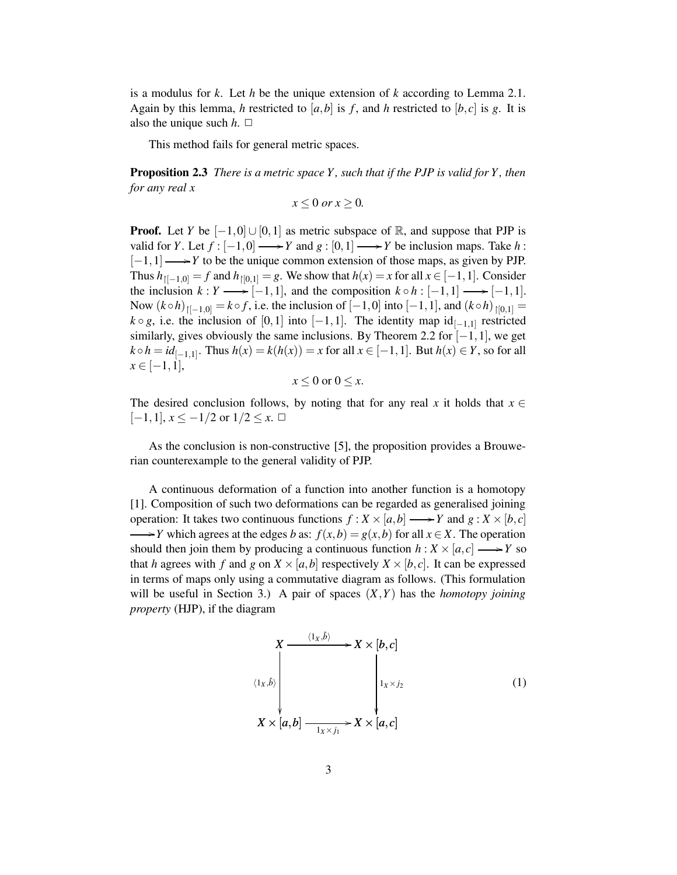is a modulus for *k*. Let *h* be the unique extension of *k* according to Lemma 2.1. Again by this lemma, *h* restricted to [a, b] is f, and *h* restricted to [b, c] is g. It is also the unique such  $h$ .  $\Box$ 

This method fails for general metric spaces.

**Proposition 2.3** *There is a metric space Y, such that if the PJP is valid for Y, then for any real x*

$$
x \le 0 \text{ or } x \ge 0.
$$

**Proof.** Let *Y* be  $[-1,0] \cup [0,1]$  as metric subspace of R, and suppose that PJP is valid for *Y*. Let  $f : [-1,0] \longrightarrow Y$  and  $g : [0,1] \longrightarrow Y$  be inclusion maps. Take *h* : [-1,1] → *Y* to be the unique common extension of those maps, as given by PJP. Thus  $h_{\lbrack[-1,0]} = f$  and  $h_{\lbrack0,1]} = g$ . We show that  $h(x) = x$  for all  $x \in [-1,1]$ . Consider the inclusion  $k: Y \longrightarrow [-1,1]$ , and the composition  $k \circ h : [-1,1] \longrightarrow [-1,1]$ . Now  $(k \circ h)_{[[-1,0]} = k \circ f$ , i.e. the inclusion of  $[-1,0]$  into  $[-1,1]$ , and  $(k \circ h)_{[0,1]} =$  $k \circ g$ , i.e. the inclusion of  $[0,1]$  into  $[-1,1]$ . The identity map  $id_{[-1,1]}$  restricted similarly, gives obviously the same inclusions. By Theorem 2.2 for  $[-1,1]$ , we get *k* ◦ *h* = *id*<sub>[−1,1]</sub>. Thus *h*(*x*) = *k*(*h*(*x*)) = *x* for all *x* ∈ [−1,1]. But *h*(*x*) ∈ *Y*, so for all  $x \in [-1,1],$ 

$$
x \le 0 \text{ or } 0 \le x.
$$

The desired conclusion follows, by noting that for any real *x* it holds that  $x \in$  $[-1,1], x \leq -1/2$  or  $1/2 \leq x. \ \Box$ 

As the conclusion is non-constructive [5], the proposition provides a Brouwerian counterexample to the general validity of PJP.

A continuous deformation of a function into another function is a homotopy [1]. Composition of such two deformations can be regarded as generalised joining operation: It takes two continuous functions  $f : X \times [a,b] \longrightarrow Y$  and  $g : X \times [b,c]$  $\rightarrow$ *Y* which agrees at the edges *b* as:  $f(x,b) = g(x,b)$  for all  $x \in X$ . The operation should then join them by producing a continuous function  $h: X \times [a, c] \longrightarrow Y$  so that *h* agrees with *f* and *g* on  $X \times [a, b]$  respectively  $X \times [b, c]$ . It can be expressed in terms of maps only using a commutative diagram as follows. (This formulation will be useful in Section 3.) A pair of spaces  $(X, Y)$  has the *homotopy joining property* (HJP), if the diagram

$$
X \xrightarrow{\langle 1_X, \hat{b} \rangle} X \times [b, c]
$$
\n
$$
\downarrow \qquad \qquad \downarrow \qquad \qquad \downarrow \qquad \downarrow \qquad \downarrow \qquad \downarrow \qquad \downarrow \qquad \downarrow \qquad \downarrow \qquad \downarrow \qquad \downarrow \qquad \downarrow \qquad \downarrow \qquad \downarrow \qquad \downarrow \qquad \downarrow \qquad \downarrow \qquad \downarrow \qquad \downarrow \qquad \downarrow \qquad \downarrow \qquad \downarrow \qquad \downarrow \qquad \downarrow \qquad \downarrow \qquad \downarrow \qquad \downarrow \qquad \downarrow \qquad \downarrow \qquad \downarrow \qquad \downarrow \qquad \downarrow \qquad \downarrow \qquad \downarrow \qquad \downarrow \qquad \downarrow \qquad \downarrow \qquad \downarrow \qquad \downarrow \qquad \downarrow \qquad \downarrow \qquad \downarrow \qquad \downarrow \qquad \downarrow \qquad \downarrow \qquad \downarrow \qquad \downarrow \qquad \downarrow \qquad \downarrow \qquad \downarrow \qquad \downarrow \qquad \downarrow \qquad \downarrow \qquad \downarrow \qquad \downarrow \qquad \downarrow \qquad \downarrow \qquad \downarrow \qquad \downarrow \qquad \downarrow \qquad \downarrow \qquad \downarrow \qquad \downarrow \qquad \downarrow \qquad \downarrow \qquad \downarrow \qquad \downarrow \qquad \downarrow \qquad \downarrow \qquad \downarrow \qquad \downarrow \qquad \downarrow \qquad \downarrow \qquad \downarrow \qquad \downarrow \qquad \downarrow \qquad \downarrow \qquad \downarrow \qquad \downarrow \qquad \downarrow \qquad \downarrow \qquad \downarrow \qquad \downarrow \qquad \downarrow \qquad \downarrow \qquad \downarrow \qquad \downarrow \qquad \downarrow \qquad \downarrow \qquad \downarrow \qquad \downarrow \qquad \downarrow \qquad \downarrow \qquad \downarrow \qquad \downarrow \qquad \downarrow \qquad \downarrow \qquad \downarrow \qquad \downarrow \qquad \downarrow \qquad \downarrow \qquad \downarrow \qquad \downarrow \qquad \downarrow \qquad \downarrow \qquad \downarrow \qquad \downarrow \qquad \downarrow \qquad \downarrow \qquad \downarrow \qquad \downarrow \qquad \downarrow \qquad \downarrow \qquad \downarrow \qquad \downarrow \qquad \downarrow \qquad \downarrow \qquad \downarrow \qquad \downarrow \qquad \downarrow \q
$$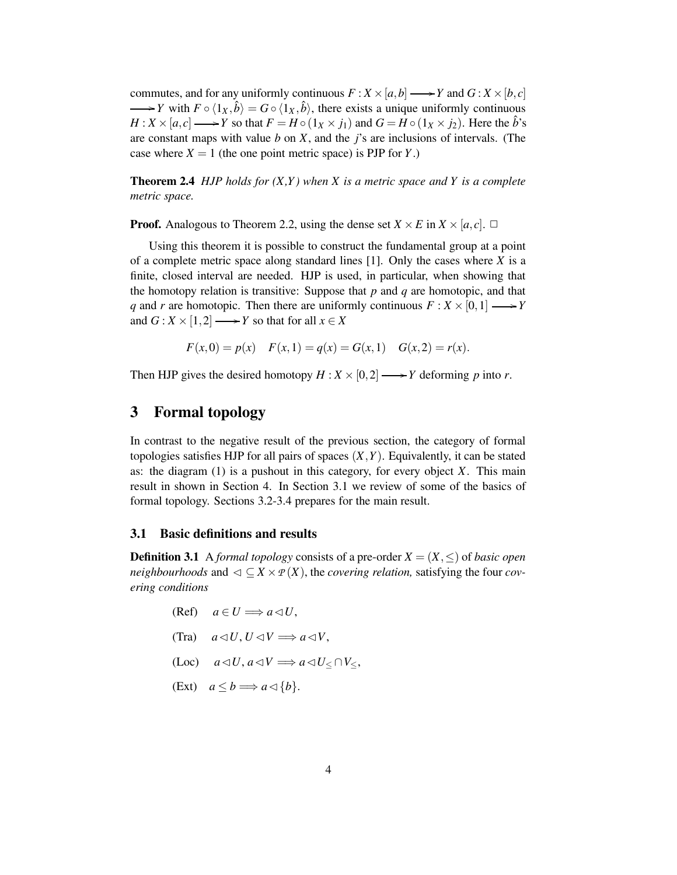commutes, and for any uniformly continuous  $F: X \times [a, b] \longrightarrow Y$  and  $G: X \times [b, c]$  $\longrightarrow$ *Y* with  $F \circ \langle 1_X, \hat{b} \rangle = G \circ \langle 1_X, \hat{b} \rangle$ , there exists a unique uniformly continuous  $H: X \times [a, c] \longrightarrow Y$  so that  $F = H \circ (1_X \times j_1)$  and  $G = H \circ (1_X \times j_2)$ . Here the  $\hat{b}$ 's are constant maps with value *b* on *X*, and the *j*'s are inclusions of intervals. (The case where  $X = 1$  (the one point metric space) is PJP for *Y*.)

**Theorem 2.4** *HJP holds for (X,Y) when X is a metric space and Y is a complete metric space.*

**Proof.** Analogous to Theorem 2.2, using the dense set  $X \times E$  in  $X \times [a, c]$ .  $\Box$ 

Using this theorem it is possible to construct the fundamental group at a point of a complete metric space along standard lines [1]. Only the cases where *X* is a finite, closed interval are needed. HJP is used, in particular, when showing that the homotopy relation is transitive: Suppose that *p* and *q* are homotopic, and that *q* and *r* are homotopic. Then there are uniformly continuous  $F: X \times [0,1] \longrightarrow Y$ and  $G: X \times [1,2] \longrightarrow Y$  so that for all  $x \in X$ 

$$
F(x,0) = p(x)
$$
  $F(x,1) = q(x) = G(x,1)$   $G(x,2) = r(x)$ .

Then HJP gives the desired homotopy  $H : X \times [0,2] \longrightarrow Y$  deforming p into r.

## **3 Formal topology**

In contrast to the negative result of the previous section, the category of formal topologies satisfies HJP for all pairs of spaces  $(X, Y)$ . Equivalently, it can be stated as: the diagram (1) is a pushout in this category, for every object *X*. This main result in shown in Section 4. In Section 3.1 we review of some of the basics of formal topology. Sections 3.2-3.4 prepares for the main result.

#### **3.1 Basic definitions and results**

**Definition 3.1** A *formal topology* consists of a pre-order  $X = (X, \leq)$  of *basic open neighbourhoods* and  $\triangleleft \subset X \times P(X)$ , the *covering relation*, satisfying the four *covering conditions*

$$
(Ref) \quad a \in U \Longrightarrow a \triangleleft U,
$$

- $(Tra)$   $a \triangleleft U, U \triangleleft V \Longrightarrow a \triangleleft V,$
- $(Loc)$   $a \triangleleft U$ ,  $a \triangleleft V \Longrightarrow a \triangleleft U \subset \bigcap V \subset$ ,

$$
(Ext) \quad a \le b \Longrightarrow a \triangleleft \{b\}.
$$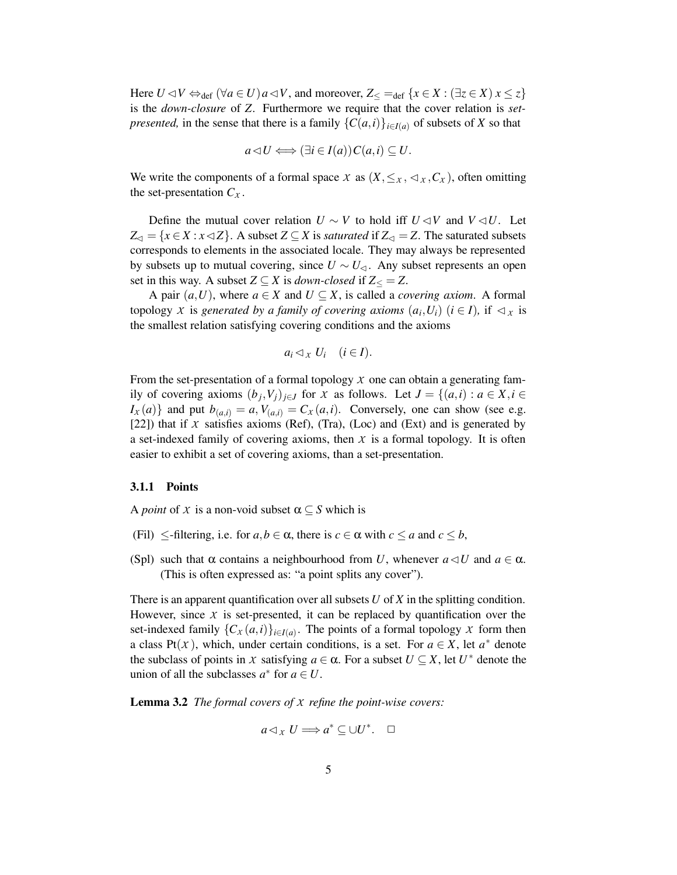Here  $U \triangleleft V \Leftrightarrow_{def} (\forall a \in U) a \triangleleft V$ , and moreover,  $Z_{<} =_{def} \{x \in X : (\exists z \in X) x \leq z\}$ is the *down-closure* of *Z*. Furthermore we require that the cover relation is *setpresented,* in the sense that there is a family  $\{C(a,i)\}_{i\in I(a)}$  of subsets of *X* so that

$$
a \triangleleft U \Longleftrightarrow (\exists i \in I(a)) C(a, i) \subseteq U.
$$

We write the components of a formal space *X* as  $(X, \leq_X, \leq_X, C_X)$ , often omitting the set-presentation  $C_X$ .

Define the mutual cover relation  $U \sim V$  to hold iff  $U \lhd V$  and  $V \lhd U$ . Let  $Z_{\lhd} = \{x \in X : x \lhd Z\}$ . A subset  $Z \subseteq X$  is *saturated* if  $Z_{\lhd} = Z$ . The saturated subsets corresponds to elements in the associated locale. They may always be represented by subsets up to mutual covering, since  $U \sim U_{\leq 1}$ . Any subset represents an open set in this way. A subset  $Z \subseteq X$  is *down-closed* if  $Z \subseteq Z$ .

A pair  $(a, U)$ , where  $a \in X$  and  $U \subseteq X$ , is called a *covering axiom*. A formal topology *X* is *generated by a family of covering axioms*  $(a_i, U_i)$   $(i \in I)$ , if  $\lhd_x$  is the smallest relation satisfying covering conditions and the axioms

$$
a_i \lhd_X U_i \quad (i \in I).
$$

From the set-presentation of a formal topology *X* one can obtain a generating family of covering axioms  $(b_j, V_j)_{j \in J}$  for *X* as follows. Let  $J = \{(a,i) : a \in X, i \in$  $I_X(a)$ } and put  $b_{(a,i)} = a$ ,  $V_{(a,i)} = C_X(a,i)$ . Conversely, one can show (see e.g. [22]) that if  $X$  satisfies axioms (Ref), (Tra), (Loc) and (Ext) and is generated by a set-indexed family of covering axioms, then  $X$  is a formal topology. It is often easier to exhibit a set of covering axioms, than a set-presentation.

#### **3.1.1 Points**

A *point* of *X* is a non-void subset  $\alpha \subseteq S$  which is

- (Fil)  $\leq$ -filtering, i.e. for  $a, b \in \alpha$ , there is  $c \in \alpha$  with  $c \leq a$  and  $c \leq b$ ,
- (Spl) such that  $\alpha$  contains a neighbourhood from *U*, whenever  $a \triangleleft U$  and  $a \in \alpha$ . (This is often expressed as: "a point splits any cover").

There is an apparent quantification over all subsets *U* of *X* in the splitting condition. However, since  $X$  is set-presented, it can be replaced by quantification over the set-indexed family  $\{C_X(a,i)\}_{i \in I(a)}$ . The points of a formal topology *X* form then a class Pt(*x*), which, under certain conditions, is a set. For  $a \in X$ , let  $a^*$  denote the subclass of points in *X* satisfying  $a \in \alpha$ . For a subset  $U \subseteq X$ , let  $U^*$  denote the union of all the subclasses  $a^*$  for  $a \in U$ .

**Lemma 3.2** *The formal covers of X refine the point-wise covers:*

$$
a \triangleleft_{X} U \Longrightarrow a^* \subseteq \cup U^*.\quad \Box
$$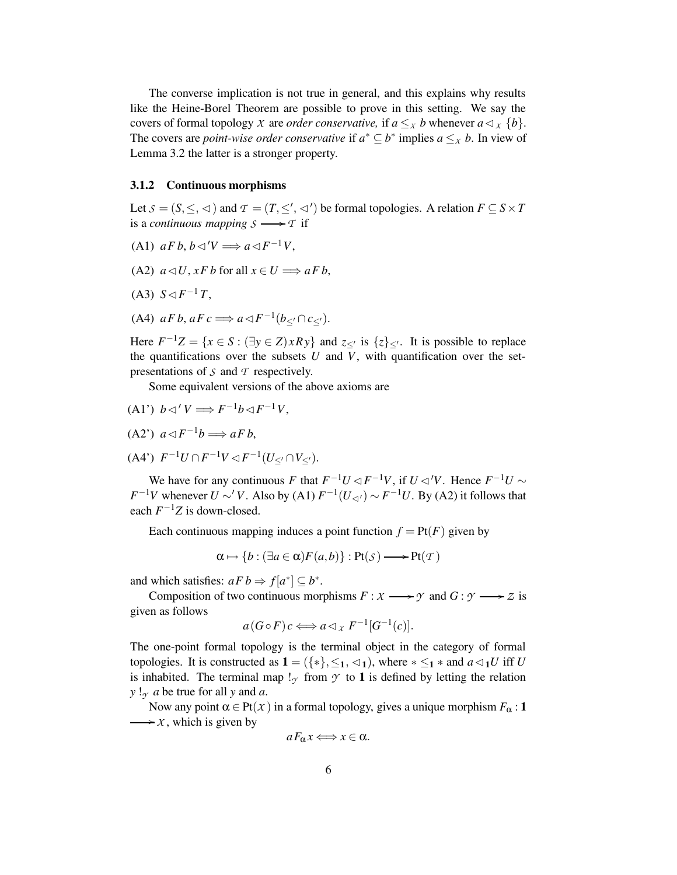The converse implication is not true in general, and this explains why results like the Heine-Borel Theorem are possible to prove in this setting. We say the covers of formal topology *X* are *order conservative*, if  $a \leq x$  *b* whenever  $a \triangleleft x$  {*b*}. The covers are *point-wise order conservative* if  $a^* \subseteq b^*$  implies  $a \leq x$  *b*. In view of Lemma 3.2 the latter is a stronger property.

#### **3.1.2 Continuous morphisms**

Let  $S = (S, \leq, \leq)$  and  $T = (T, \leq', \leq')$  be formal topologies. A relation  $F \subseteq S \times T$ is a *continuous* mapping  $S \longrightarrow T$  if

- $(A1)$   $aFb, b \triangleleft' V \Longrightarrow a \triangleleft F^{-1}V,$
- (A2)  $a \triangleleft U$ ,  $xFb$  for all  $x \in U \Longrightarrow aFb$ ,
- (A3)  $S \lhd F^{-1}T$ ,
- (A4)  $aFb, aFc \Longrightarrow a \triangleleft F^{-1}(b_{\leq'} \cap c_{\leq'}).$

Here  $F^{-1}Z = \{x \in S : (\exists y \in Z) \times Ry\}$  and  $z \leq 0$  is  $\{z\} \leq 0$ . It is possible to replace the quantifications over the subsets  $U$  and  $V$ , with quantification over the setpresentations of *S* and *T* respectively.

Some equivalent versions of the above axioms are

$$
(A1') b \triangleleft' V \Longrightarrow F^{-1}b \triangleleft F^{-1}V,
$$

$$
(A2')\ \ a \triangleleft F^{-1}b \Longrightarrow aFb,
$$

 $(A4')$   $F^{-1}U \cap F^{-1}V \triangleleft F^{-1}(U_{\leq'} \cap V_{\leq'}).$ 

We have for any continuous *F* that  $F^{-1}U \triangleleft F^{-1}V$ , if  $U \triangleleft V$ . Hence  $F^{-1}U \sim$ *F*<sup>-1</sup>*V* whenever *U* ∼'*V*. Also by (A1)  $F^{-1}(U_{\lhd})$  ∼  $F^{-1}U$ . By (A2) it follows that each  $F^{-1}Z$  is down-closed.

Each continuous mapping induces a point function  $f = Pt(F)$  given by

$$
\alpha \mapsto \{b : (\exists a \in \alpha) F(a, b)\} : \text{Pt}(\mathcal{S}) \longrightarrow \text{Pt}(\mathcal{T})
$$

and which satisfies:  $aFb \Rightarrow f[a^*] \subseteq b^*$ .

Composition of two continuous morphisms  $F: X \longrightarrow Y$  and  $G: Y \longrightarrow Z$  is given as follows

$$
a(G \circ F)c \Longleftrightarrow a \triangleleft_{x} F^{-1}[G^{-1}(c)].
$$

The one-point formal topology is the terminal object in the category of formal topologies. It is constructed as  $\mathbf{1} = (\{*\}, \leq_1, \leq_1)$ , where  $* \leq_1 *$  and  $a \triangleleft_1 U$  iff U is inhabited. The terminal map  $\mathsf{l}_{\gamma}$  from  $\gamma$  to **1** is defined by letting the relation  $y!_{\gamma}$  *a* be true for all *y* and *a*.

Now any point  $\alpha \in Pt(X)$  in a formal topology, gives a unique morphism  $F_{\alpha}$ : **1**  $\longrightarrow x$ , which is given by

$$
a F_{\alpha} x \Longleftrightarrow x \in \alpha.
$$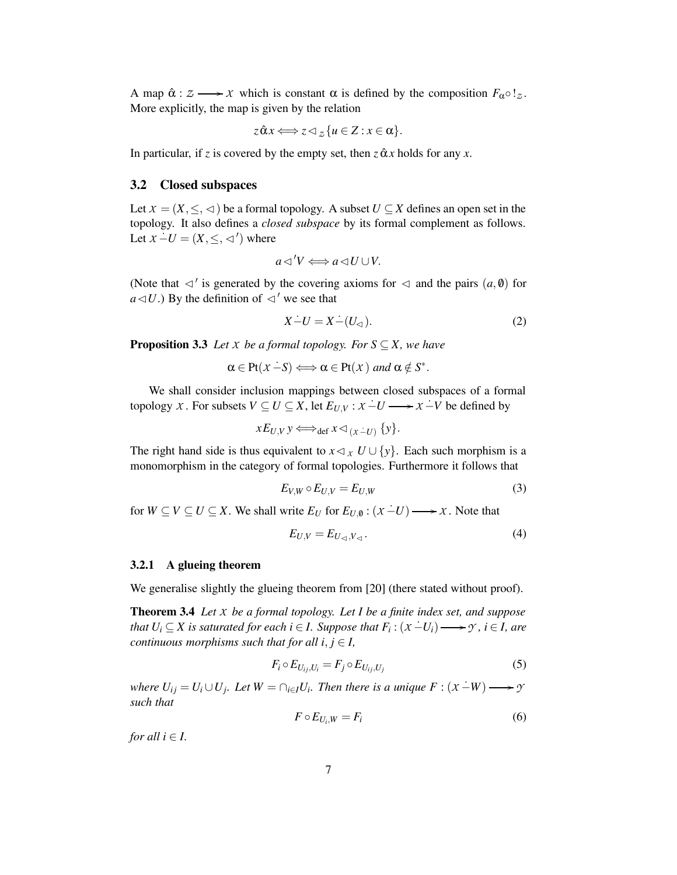A map  $\hat{\alpha}: \mathcal{Z} \longrightarrow \mathcal{X}$  which is constant  $\alpha$  is defined by the composition  $F_{\alpha} \circ !_{\mathcal{Z}}$ . More explicitly, the map is given by the relation

$$
z \hat{\alpha} x \Longleftrightarrow z \triangleleft z \{ u \in Z : x \in \alpha \}.
$$

In particular, if *z* is covered by the empty set, then  $z \hat{\alpha} x$  holds for any *x*.

#### **3.2 Closed subspaces**

Let  $X = (X, \leq, \leq)$  be a formal topology. A subset  $U \subseteq X$  defines an open set in the topology. It also defines a *closed subspace* by its formal complement as follows. Let  $X - U = (X, \leq, \triangleleft')$  where

$$
a \triangleleft' V \Longleftrightarrow a \triangleleft U \cup V.
$$

(Note that  $\lhd'$  is generated by the covering axioms for  $\lhd$  and the pairs  $(a, \theta)$  for  $a \triangleleft U$ .) By the definition of  $\triangleleft'$  we see that

$$
X - U = X - (U_{\leq})
$$
\n<sup>(2)</sup>

**Proposition 3.3** *Let*  $X$  *be a formal topology. For*  $S \subseteq X$ *, we have* 

 $\alpha \in \text{Pt}(X-S) \Longleftrightarrow \alpha \in \text{Pt}(X) \text{ and } \alpha \notin S^*.$ 

We shall consider inclusion mappings between closed subspaces of a formal topology *X*. For subsets *V* ⊆ *U* ⊆ *X*, let  $E_{U,V}$  :  $X - U$  →  $X - V$  be defined by

$$
xE_{U,V}y \Longleftrightarrow_{\text{def}} x \triangleleft_{(x-U)} \{y\}.
$$

The right hand side is thus equivalent to  $x \triangleleft x$ ,  $U \cup \{y\}$ . Each such morphism is a monomorphism in the category of formal topologies. Furthermore it follows that

$$
E_{V,W} \circ E_{U,V} = E_{U,W} \tag{3}
$$

for  $W \subseteq V \subseteq U \subseteq X$ . We shall write  $E_U$  for  $E_{U, \emptyset} : (x - U) \longrightarrow x$ . Note that

$$
E_{U,V} = E_{U_{\lhd},V_{\lhd}}.\tag{4}
$$

#### **3.2.1 A glueing theorem**

We generalise slightly the glueing theorem from [20] (there stated without proof).

**Theorem 3.4** *Let X be a formal topology. Let I be a finite index set, and suppose* that  $U_i \subseteq X$  is saturated for each  $i \in I$ . Suppose that  $F_i : (x - U_i) \longrightarrow y$ ,  $i \in I$ , are *continuous morphisms such that for all*  $i, j \in I$ ,

$$
F_i \circ E_{U_{ij},U_i} = F_j \circ E_{U_{ij},U_j} \tag{5}
$$

where  $U_{ij} = U_i \cup U_j$ . Let  $W = \bigcap_{i \in I} U_i$ . Then there is a unique  $F : (X - W) \longrightarrow Y$ *such that*

$$
F \circ E_{U_i, W} = F_i \tag{6}
$$

*for all*  $i \in I$ .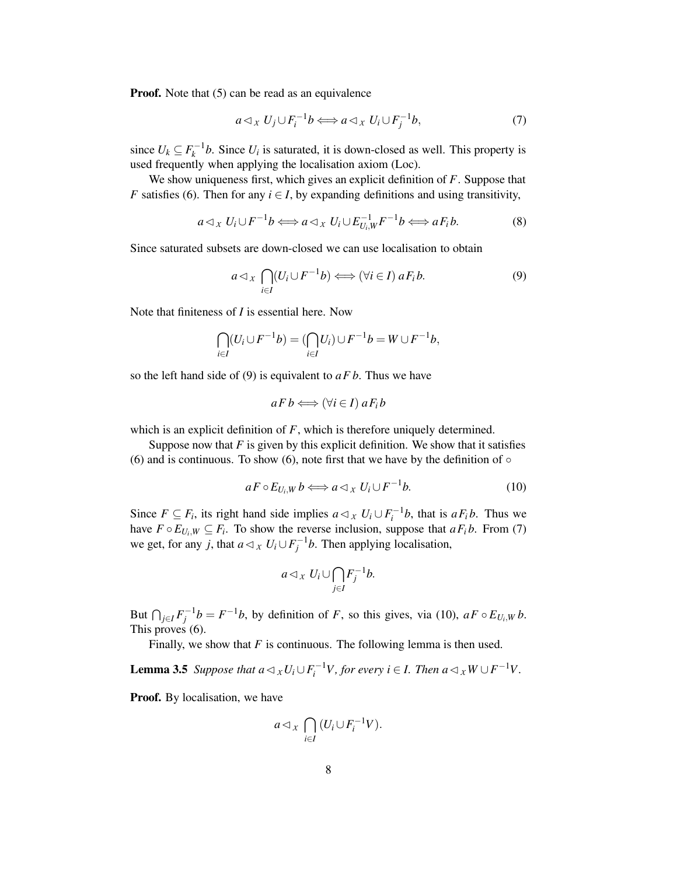**Proof.** Note that (5) can be read as an equivalence

$$
a \triangleleft_X U_j \cup F_i^{-1}b \Longleftrightarrow a \triangleleft_X U_i \cup F_j^{-1}b,\tag{7}
$$

since  $U_k \subseteq F_k^{-1}b$ . Since  $U_i$  is saturated, it is down-closed as well. This property is used frequently when applying the localisation axiom (Loc).

We show uniqueness first, which gives an explicit definition of *F*. Suppose that *F* satisfies (6). Then for any  $i \in I$ , by expanding definitions and using transitivity,

$$
a \triangleleft_X U_i \cup F^{-1}b \Longleftrightarrow a \triangleleft_X U_i \cup E_{U_i,W}^{-1} F^{-1}b \Longleftrightarrow a F_i b. \tag{8}
$$

Since saturated subsets are down-closed we can use localisation to obtain

$$
a \triangleleft_{X} \bigcap_{i \in I} (U_i \cup F^{-1}b) \Longleftrightarrow (\forall i \in I) \ aF_i b. \tag{9}
$$

Note that finiteness of *I* is essential here. Now

$$
\bigcap_{i\in I}(U_i\cup F^{-1}b)=(\bigcap_{i\in I}U_i)\cup F^{-1}b=W\cup F^{-1}b,
$$

so the left hand side of (9) is equivalent to *aF b*. Thus we have

$$
aFb \Longleftrightarrow (\forall i \in I) aF_i b
$$

which is an explicit definition of *F*, which is therefore uniquely determined.

Suppose now that  $F$  is given by this explicit definition. We show that it satisfies (6) and is continuous. To show (6), note first that we have by the definition of  $\circ$ 

$$
a F \circ E_{U_i, W} b \Longleftrightarrow a \triangleleft_X U_i \cup F^{-1} b. \tag{10}
$$

Since  $F \subseteq F_i$ , its right hand side implies  $a \triangleleft x$ ,  $U_i \cup F_i^{-1}b$ , that is  $aF_i b$ . Thus we have  $F \circ E_{U_i,W} \subseteq F_i$ . To show the reverse inclusion, suppose that  $aF_i b$ . From (7) we get, for any *j*, that  $a \triangleleft x$ ,  $U_i \cup F_j^{-1}b$ . Then applying localisation,

$$
a \triangleleft_{X} U_{i} \cup \bigcap_{j \in I} F_{j}^{-1}b.
$$

But  $\bigcap_{j\in I} F_j^{-1}b = F^{-1}b$ , by definition of *F*, so this gives, via (10),  $aF \circ E_{U_i,W} b$ . This proves (6).

Finally, we show that  $F$  is continuous. The following lemma is then used.

**Lemma 3.5** *Suppose that*  $a \triangleleft_x U_i \cup F_i^{-1}V$ , for every  $i \in I$ . Then  $a \triangleleft_x W \cup F^{-1}V$ .

**Proof.** By localisation, we have

$$
a \triangleleft_{x} \bigcap_{i \in I} (U_i \cup F_i^{-1}V).
$$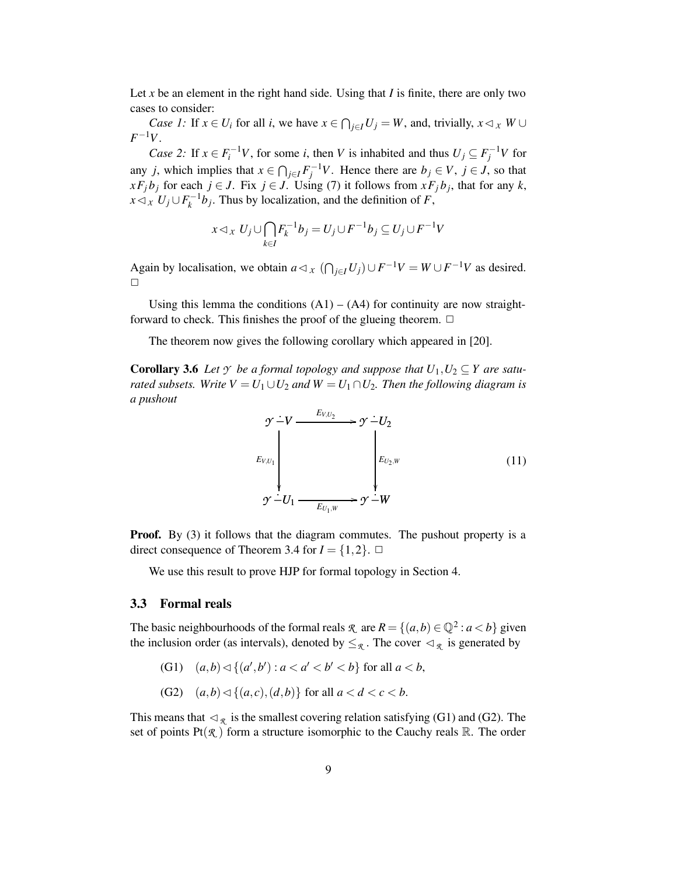Let x be an element in the right hand side. Using that  $I$  is finite, there are only two cases to consider:

*Case 1:* If  $x \in U_i$  for all *i*, we have  $x \in \bigcap_{j \in I} U_j = W$ , and, trivially,  $x \triangleleft x \mid W \cup Y$  $F^{-1}V$ .

*Case* 2: If  $x \in F_i^{-1}V$ , for some *i*, then *V* is inhabited and thus  $U_j \subseteq F_j^{-1}V$  for any *j*, which implies that  $x \in \bigcap_{j \in I} F_j^{-1}V$ . Hence there are  $b_j \in V$ ,  $j \in J$ , so that *xF*<sup>*j*</sup> $b$ <sup>*j*</sup> for each *j* ∈ *J*. Fix *j* ∈ *J*. Using (7) it follows from *xF*<sup>*j*</sup> $b$ <sub>*j*</sub>, that for any *k*,  $x \triangleleft_{x} U_j \cup F_k^{-1} b_j$ . Thus by localization, and the definition of *F*,

$$
x \triangleleft_{x} U_{j} \cup \bigcap_{k \in I} F_{k}^{-1} b_{j} = U_{j} \cup F^{-1} b_{j} \subseteq U_{j} \cup F^{-1} V
$$

Again by localisation, we obtain  $a \triangleleft_x (\bigcap_{j \in I} U_j) \cup F^{-1}V = W \cup F^{-1}V$  as desired.  $\Box$ 

Using this lemma the conditions  $(A1) - (A4)$  for continuity are now straightforward to check. This finishes the proof of the glueing theorem.  $\Box$ 

The theorem now gives the following corollary which appeared in [20].

**Corollary 3.6** *Let*  $\gamma$  *be a formal topology and suppose that*  $U_1, U_2 \subseteq Y$  *are saturated subsets. Write*  $V = U_1 \cup U_2$  *and*  $W = U_1 \cap U_2$ *. Then the following diagram is a pushout*



**Proof.** By (3) it follows that the diagram commutes. The pushout property is a direct consequence of Theorem 3.4 for  $I = \{1, 2\}$ .  $\Box$ 

We use this result to prove HJP for formal topology in Section 4.

#### **3.3 Formal reals**

The basic neighbourhoods of the formal reals  $\mathcal{R}$  are  $R = \{(a, b) \in \mathbb{Q}^2 : a < b\}$  given the inclusion order (as intervals), denoted by  $\leq_{\mathcal{R}}$ . The cover  $\lhd_{\mathcal{R}}$  is generated by

- (G1)  $(a,b) \lhd \{(a',b'): a < a' < b' < b\}$  for all  $a < b$ ,
- (G2)  $(a,b) \triangleleft \{ (a,c), (d,b) \}$  for all  $a < d < c < b$ .

This means that  $\lhd_R$  is the smallest covering relation satisfying (G1) and (G2). The set of points  $Pf(\mathcal{R})$  form a structure isomorphic to the Cauchy reals R. The order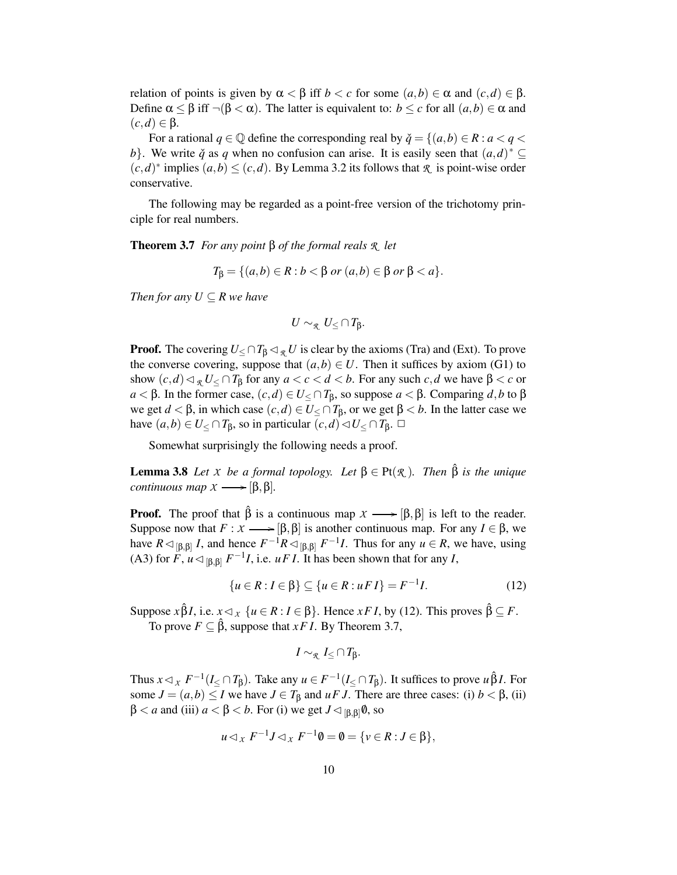relation of points is given by  $\alpha < \beta$  iff  $b < c$  for some  $(a, b) \in \alpha$  and  $(c, d) \in \beta$ . Define  $\alpha \leq \beta$  iff  $\neg(\beta < \alpha)$ . The latter is equivalent to:  $b \leq c$  for all  $(a, b) \in \alpha$  and  $(c,d) \in \mathcal{B}$ .

For a rational  $q \in \mathbb{Q}$  define the corresponding real by  $\check{q} = \{(a, b) \in R : a < q < q\}$ *b*}. We write  $\check{q}$  as  $q$  when no confusion can arise. It is easily seen that  $(a,d)^* \subseteq$  $(c,d)^*$  implies  $(a,b) \leq (c,d)$ . By Lemma 3.2 its follows that  $\mathcal R$  is point-wise order conservative.

The following may be regarded as a point-free version of the trichotomy principle for real numbers.

**Theorem 3.7** *For any point* β *of the formal reals R let*

$$
T_{\beta} = \{(a,b) \in R : b < \beta \text{ or } (a,b) \in \beta \text{ or } \beta < a\}.
$$

*Then for any*  $U \subseteq R$  *we have* 

$$
U\sim_{\mathcal R} U_{\leq}\cap T_{\beta}.
$$

**Proof.** The covering  $U \leq \bigcap T_\beta \lhd_R U$  is clear by the axioms (Tra) and (Ext). To prove the converse covering, suppose that  $(a, b) \in U$ . Then it suffices by axiom (G1) to show  $(c,d) \triangleleft_{\mathcal{R}} U \leq \cap T_{\beta}$  for any  $a < c < d < b$ . For any such  $c, d$  we have  $\beta < c$  or *a* < β. In the former case,  $(c,d) \in U$ <sub>≤</sub> ∩ *T*<sub>β</sub>, so suppose *a* < β. Comparing *d*,*b* to β we get *d* < β, in which case  $(c,d) \in U \le \cap T_{\beta}$ , or we get β < *b*. In the latter case we have  $(a,b) \in U < \cap T_B$ , so in particular  $(c,d) \lhd U < \cap T_B$ .  $\Box$ 

Somewhat surprisingly the following needs a proof.

**Lemma** 3.8 *Let X be a formal topology. Let*  $\beta \in Pt(R_1)$ *. Then*  $\hat{\beta}$  *is the unique continuous map*  $X \rightarrow [\beta, \beta]$ *.* 

**Proof.** The proof that  $\hat{\beta}$  is a continuous map  $X \rightarrow [\beta, \beta]$  is left to the reader. Suppose now that  $F : \mathcal{X} \longrightarrow [\beta, \beta]$  is another continuous map. For any  $I \in \beta$ , we have  $R \triangleleft_{[\beta,\beta]} I$ , and hence  $F^{-1}R \triangleleft_{[\beta,\beta]} F^{-1}I$ . Thus for any  $u \in R$ , we have, using (A3) for  $\ddot{F}$ ,  $\dot{u} \triangleleft_{[\beta,\beta]} F^{-1}I$ , i.e.  $u \dot{F} I$ . It has been shown that for any *I*,

$$
\{u \in R : I \in \beta\} \subseteq \{u \in R : u \in I\} = F^{-1}I. \tag{12}
$$

Suppose  $x \hat{\beta} I$ , i.e.  $x \triangleleft x$  { $u \in R : I \in \beta$ }. Hence  $x F I$ , by (12). This proves  $\hat{\beta} \subseteq F$ . To prove  $F \subseteq \hat{\beta}$ , suppose that *xF I*. By Theorem 3.7,

$$
I \sim_{\mathcal{R}} I_{\leq} \cap T_{\beta}.
$$

Thus  $x \lhd_x F^{-1}(I_{\leq} \cap T_{\beta})$ . Take any  $u \in F^{-1}(I_{\leq} \cap T_{\beta})$ . It suffices to prove  $u \hat{\beta} I$ . For some  $J = (a, b) \leq I$  we have  $J \in T_\beta$  and  $u \in J$ . There are three cases: (i)  $b < \beta$ , (ii)  $β < a$  and (iii)  $a < β < b$ . For (i) we get  $J \triangleleft_{[β,β]}$ **0**, so

$$
u \lhd_X F^{-1}J \lhd_X F^{-1} \emptyset = \emptyset = \{v \in R : J \in \beta\},\
$$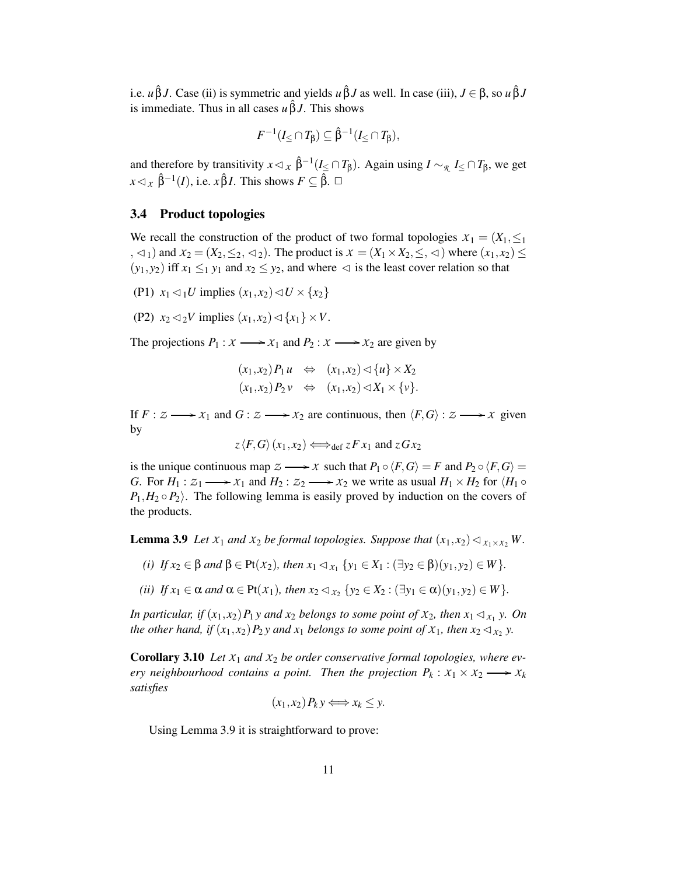i.e. *u* $\hat{\beta}J$ . Case (ii) is symmetric and yields *u* $\hat{\beta}J$  as well. In case (iii),  $J \in \beta$ , so *u* $\hat{\beta}J$ is immediate. Thus in all cases  $u \hat{\beta} J$ . This shows

$$
F^{-1}(I_{\leq} \cap T_{\beta}) \subseteq \hat{\beta}^{-1}(I_{\leq} \cap T_{\beta}),
$$

and therefore by transitivity  $x \lhd x$   $\hat{\beta}^{-1}(I \le \cap T_{\beta})$ . Again using  $I \sim_{\mathcal{R}} I \le \cap T_{\beta}$ , we get  $x \triangleleft_{X} \hat{\beta}^{-1}(I)$ , i.e.  $x \hat{\beta} I$ . This shows  $F \subseteq \hat{\beta}$ .  $\Box$ 

#### **3.4 Product topologies**

We recall the construction of the product of two formal topologies  $X_1 = (X_1, \leq_1)$  $(x, \leq_1)$  and  $x_2 = (X_2, \leq_2, \leq_2)$ . The product is  $x = (X_1 \times X_2, \leq, \leq)$  where  $(x_1, x_2) \leq$  $(y_1, y_2)$  iff  $x_1 \leq_1 y_1$  and  $x_2 \leq y_2$ , and where  $\lhd$  is the least cover relation so that

(P1)  $x_1 \triangleleft_1 U$  implies  $(x_1, x_2) \triangleleft U \times \{x_2\}$ 

(P2)  $x_2 \leq 2V$  implies  $(x_1, x_2) \leq \{x_1\} \times V$ .

The projections  $P_1: X \longrightarrow X_1$  and  $P_2: X \longrightarrow X_2$  are given by

$$
(x_1,x_2)P_1u \Leftrightarrow (x_1,x_2) \triangleleft \{u\} \times X_2
$$
  

$$
(x_1,x_2)P_2v \Leftrightarrow (x_1,x_2) \triangleleft X_1 \times \{v\}.
$$

If  $F: Z \longrightarrow X_1$  and  $G: Z \longrightarrow X_2$  are continuous, then  $\langle F, G \rangle: Z \longrightarrow X$  given by

$$
z \langle F, G \rangle (x_1, x_2) \Longleftrightarrow_{\text{def}} z F x_1 \text{ and } z G x_2
$$

is the unique continuous map  $Z \longrightarrow X$  such that  $P_1 \circ \langle F, G \rangle = F$  and  $P_2 \circ \langle F, G \rangle =$ *G*. For  $H_1: Z_1 \longrightarrow X_1$  and  $H_2: Z_2 \longrightarrow X_2$  we write as usual  $H_1 \times H_2$  for  $\langle H_1 \circ H_2 \rangle$  $P_1, H_2 \circ P_2$ . The following lemma is easily proved by induction on the covers of the products.

**Lemma 3.9** *Let*  $X_1$  *and*  $X_2$  *be formal topologies. Suppose that*  $(x_1, x_2) \triangleleft_{X_1 \times X_2} W$ .

- *(i) If*  $x_2 \in \beta$  *and*  $\beta \in Pt(X_2)$ *, then*  $x_1 \lhd x_1$  {*y*<sub>1</sub> ∈ *X*<sub>1</sub> : (∃*y*<sub>2</sub> ∈  $\beta$ )(*y*<sub>1</sub>, *y*<sub>2</sub>) ∈ *W*}.
- *(ii) If*  $x_1 \in \alpha$  *and*  $\alpha \in \text{Pt}(X_1)$ *, then*  $x_2 \lhd_{X_2} \{y_2 \in X_2 : (\exists y_1 \in \alpha)(y_1, y_2) \in W\}$ *.*

In particular, if  $(x_1, x_2)P_1y$  and  $x_2$  belongs to some point of  $x_2$ , then  $x_1 \triangleleft x_1 y$ . On the other hand, if  $(x_1, x_2)P_2y$  and  $x_1$  belongs to some point of  $x_1$ , then  $x_2 \triangleleft x_2$  y.

**Corollary** 3.10 *Let*  $X_1$  *and*  $X_2$  *be order conservative formal topologies, where every neighbourhood contains a point. Then the projection*  $P_k: X_1 \times X_2 \longrightarrow X_k$ *satisfies*

$$
(x_1,x_2)P_ky \Longleftrightarrow x_k\leq y.
$$

Using Lemma 3.9 it is straightforward to prove: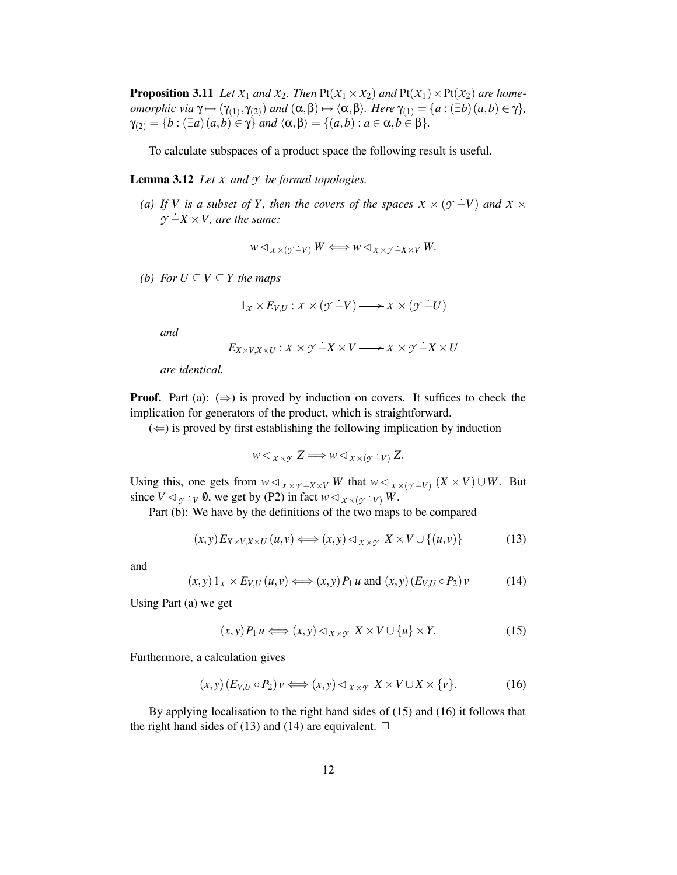**Proposition 3.11** *Let*  $X_1$  *and*  $X_2$ *. Then*  $Pt(X_1 \times X_2)$  *and*  $Pt(X_1) \times Pt(X_2)$  *are homeomorphic via*  $\gamma \mapsto (\gamma_{(1)}, \gamma_{(2)})$  *and*  $(\alpha, \beta) \mapsto \langle \alpha, \beta \rangle$ *. Here*  $\gamma_{(1)} = \{a : (\exists b)(a, b) \in \gamma\}$ *,*  $\gamma_{(2)} = \{b : (\exists a)(a,b) \in \gamma\}$  *and*  $\langle \alpha, \beta \rangle = \{(a,b) : a \in \alpha, b \in \beta\}.$ 

To calculate subspaces of a product space the following result is useful.

**Lemma** 3.12 *Let*  $X$  *and*  $Y$  *be formal topologies.* 

*(a) If V is a subset of Y*, *then the covers of the spaces*  $X \times (Y - V)$  *and*  $X \times$  $\gamma$  − $\dot{X}$  × *V*, *are the same:* 

$$
w \triangleleft_{X \times (\gamma - V)} W \Longleftrightarrow w \triangleleft_{X \times \gamma - X \times V} W.
$$

*(b) For*  $U ⊆ V ⊆ Y$  *the maps* 

$$
1_{\mathcal{X}} \times E_{V,U}: \mathcal{X} \times (\mathcal{Y} \dot{-} V) \longrightarrow \mathcal{X} \times (\mathcal{Y} \dot{-} U)
$$

*and*

$$
E_{X\times V, X\times U}: X\times Y \to X\times V \longrightarrow X\times Y \to X\times U
$$

*are identical.*

**Proof.** Part (a):  $(\Rightarrow)$  is proved by induction on covers. It suffices to check the implication for generators of the product, which is straightforward.

 $(\Leftarrow)$  is proved by first establishing the following implication by induction

$$
w \triangleleft_{X \times \mathcal{Y}} Z \Longrightarrow w \triangleleft_{X \times (\mathcal{Y} - V)} Z.
$$

Using this, one gets from  $w \triangleleft_{X \times \mathcal{Y}} \angle_X^Y W$  that  $w \triangleleft_{X \times (\mathcal{Y}} \angle_Y) (X \times V) \cup W$ . But since  $V \lhd_{\gamma \perp V} \emptyset$ , we get by (P2) in fact  $w \lhd_{\chi \times (\gamma \perp V)} W$ .

Part (b): We have by the definitions of the two maps to be compared

$$
(x,y)E_{X\times V,X\times U}(u,v) \Longleftrightarrow (x,y)\lhd_{X\times Y} X\times V\cup\{(u,v)\}\tag{13}
$$

and

$$
(x,y) 1_x \times E_{V,U}(u,v) \Longleftrightarrow (x,y) P_1 u \text{ and } (x,y) (E_{V,U} \circ P_2) v \tag{14}
$$

Using Part (a) we get

$$
(x,y)P_1 u \Longleftrightarrow (x,y) \lhd_{x \times y} X \times V \cup \{u\} \times Y. \tag{15}
$$

Furthermore, a calculation gives

$$
(x,y)\left(E_{V,U}\circ P_2\right)\nu \Longleftrightarrow (x,y)\lhd_{X\times Y} X\times V\cup X\times \{\nu\}.\tag{16}
$$

By applying localisation to the right hand sides of (15) and (16) it follows that the right hand sides of (13) and (14) are equivalent.  $\Box$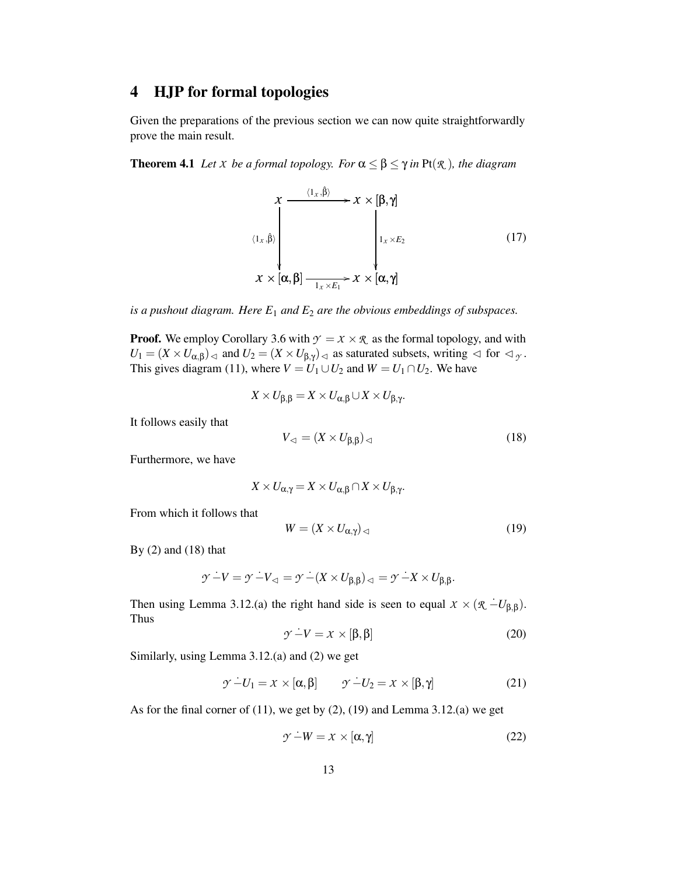## **4 HJP for formal topologies**

Given the preparations of the previous section we can now quite straightforwardly prove the main result.

**Theorem 4.1** *Let X be a formal topology. For*  $\alpha \leq \beta \leq \gamma$  *in*  $\text{Pt}(\mathcal{R})$ *, the diagram* 

$$
x \xrightarrow{\langle 1_x, \hat{\beta} \rangle} x \times [\beta, \gamma]
$$
\n
$$
\langle 1_x, \hat{\beta} \rangle \Bigg|_{1_x \times E_2}
$$
\n
$$
x \times [\alpha, \beta] \xrightarrow{\phantom{a}1_x \times E_1} x \times [\alpha, \gamma]
$$
\n(17)

*is a pushout diagram. Here E*<sup>1</sup> *and E*<sup>2</sup> *are the obvious embeddings of subspaces.*

**Proof.** We employ Corollary 3.6 with  $\gamma = x \times \mathcal{R}$  as the formal topology, and with  $U_1 = (X \times U_{\alpha,\beta})_{\lhd}$  and  $U_2 = (X \times U_{\beta,\gamma})_{\lhd}$  as saturated subsets, writing  $\lhd$  for  $\lhd$   $\gamma$ . This gives diagram (11), where  $V = U_1 \cup U_2$  and  $W = U_1 \cap U_2$ . We have

$$
X \times U_{\beta,\beta} = X \times U_{\alpha,\beta} \cup X \times U_{\beta,\gamma}.
$$

It follows easily that

$$
V_{\lhd} = (X \times U_{\beta,\beta})_{\lhd} \tag{18}
$$

Furthermore, we have

$$
X \times U_{\alpha,\gamma} = X \times U_{\alpha,\beta} \cap X \times U_{\beta,\gamma}.
$$

From which it follows that

$$
W = (X \times U_{\alpha,\gamma})_{\lhd} \tag{19}
$$

By  $(2)$  and  $(18)$  that

$$
\mathcal{Y} \dot{-} V = \mathcal{Y} \dot{-} V_{\lhd} = \mathcal{Y} \dot{-} (X \times U_{\beta, \beta})_{\lhd} = \mathcal{Y} \dot{-} X \times U_{\beta, \beta}.
$$

Then using Lemma 3.12.(a) the right hand side is seen to equal  $X \times (\mathcal{R} - U_{\beta,\beta})$ . Thus

$$
\mathcal{Y} - V = \mathcal{X} \times [\beta, \beta] \tag{20}
$$

Similarly, using Lemma 3.12.(a) and (2) we get

$$
\mathcal{Y} - U_1 = \mathcal{X} \times [\alpha, \beta] \qquad \mathcal{Y} - U_2 = \mathcal{X} \times [\beta, \gamma]
$$
 (21)

As for the final corner of (11), we get by (2), (19) and Lemma 3.12.(a) we get

$$
\mathcal{Y} - W = \mathcal{X} \times [\alpha, \gamma] \tag{22}
$$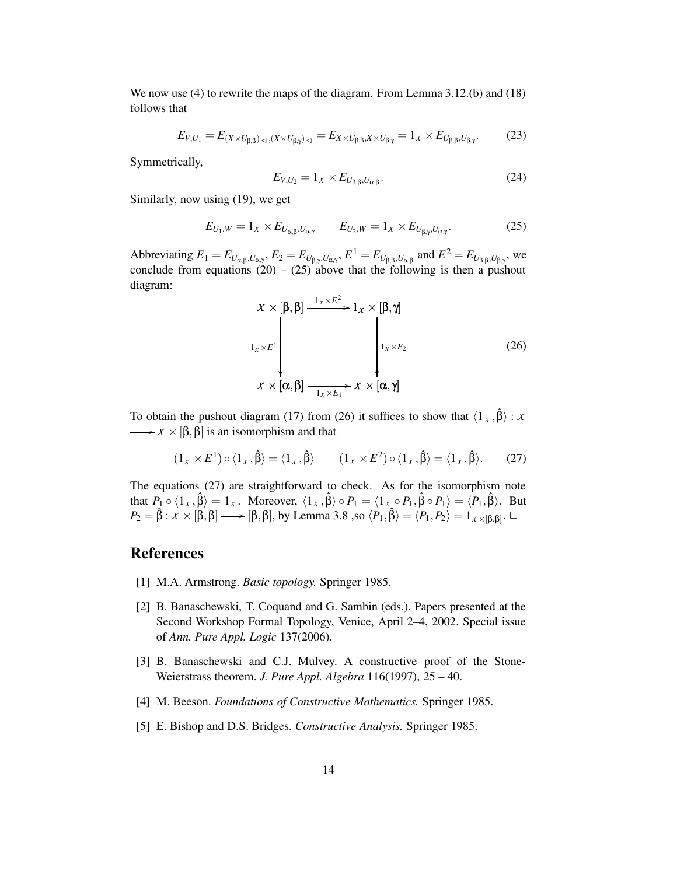We now use (4) to rewrite the maps of the diagram. From Lemma 3.12.(b) and (18) follows that

$$
E_{V,U_1} = E_{(X \times U_{\beta,\beta})_{\lhd, \langle X \times U_{\beta,\gamma} \rangle_{\lhd}} = E_{X \times U_{\beta,\beta}, X \times U_{\beta,\gamma}} = 1_X \times E_{U_{\beta,\beta}, U_{\beta,\gamma}}.
$$
(23)

Symmetrically,

$$
E_{V,U_2} = 1_x \times E_{U_{\beta,\beta},U_{\alpha,\beta}}.\tag{24}
$$

Similarly, now using (19), we get

$$
E_{U_1,W} = 1_X \times E_{U_{\alpha,\beta},U_{\alpha,\gamma}} \qquad E_{U_2,W} = 1_X \times E_{U_{\beta,\gamma},U_{\alpha,\gamma}}.
$$
 (25)

Abbreviating  $E_1 = E_{U_{\alpha,\beta},U_{\alpha,\gamma}}, E_2 = E_{U_{\beta,\gamma},U_{\alpha,\gamma}}, E^1 = E_{U_{\beta,\beta},U_{\alpha,\beta}}$  and  $E^2 = E_{U_{\beta,\beta},U_{\beta,\gamma}}$ , we conclude from equations  $(20) - (25)$  above that the following is then a pushout diagram:

$$
x \times [\beta, \beta] \xrightarrow{1_X \times E^2} 1_X \times [\beta, \gamma]
$$
  
\n
$$
1_X \times E^1 \downarrow \qquad \qquad 1_X \times E_2 \qquad (26)
$$
  
\n
$$
x \times [\alpha, \beta] \xrightarrow{1_X \times E_1} x \times [\alpha, \gamma]
$$

To obtain the pushout diagram (17) from (26) it suffices to show that  $\langle 1_x, \hat{\beta} \rangle : X$  $\longrightarrow x \times [\beta, \beta]$  is an isomorphism and that

$$
(1_X \times E^1) \circ \langle 1_X, \hat{\beta} \rangle = \langle 1_X, \hat{\beta} \rangle \qquad (1_X \times E^2) \circ \langle 1_X, \hat{\beta} \rangle = \langle 1_X, \hat{\beta} \rangle. \qquad (27)
$$

The equations (27) are straightforward to check. As for the isomorphism note that  $P_1 \circ \langle 1_x, \hat{\beta} \rangle = 1_x$ . Moreover,  $\langle 1_x, \hat{\beta} \rangle \circ P_1 = \langle 1_x \circ P_1, \hat{\beta} \circ P_1 \rangle = \langle P_1, \hat{\beta} \rangle$ . But  $P_2 = \hat{\beta} : \mathcal{X} \times [\beta, \beta] \longrightarrow [\beta, \beta],$  by Lemma 3.8 ,so  $\langle P_1, \hat{\beta} \rangle = \langle P_1, P_2 \rangle = 1_{\mathcal{X} \times [\beta, \beta]}$ .

## **References**

- [1] M.A. Armstrong. *Basic topology.* Springer 1985.
- [2] B. Banaschewski, T. Coquand and G. Sambin (eds.). Papers presented at the Second Workshop Formal Topology, Venice, April 2–4, 2002. Special issue of *Ann. Pure Appl. Logic* 137(2006).
- [3] B. Banaschewski and C.J. Mulvey. A constructive proof of the Stone-Weierstrass theorem. *J. Pure Appl. Algebra* 116(1997), 25 – 40.
- [4] M. Beeson. *Foundations of Constructive Mathematics.* Springer 1985.
- [5] E. Bishop and D.S. Bridges. *Constructive Analysis.* Springer 1985.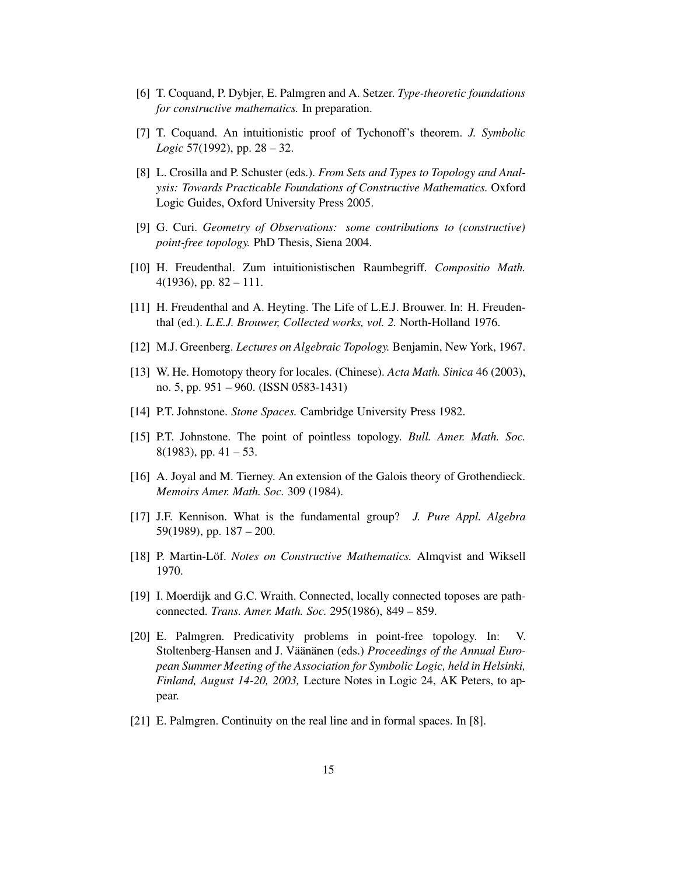- [6] T. Coquand, P. Dybjer, E. Palmgren and A. Setzer. *Type-theoretic foundations for constructive mathematics.* In preparation.
- [7] T. Coquand. An intuitionistic proof of Tychonoff's theorem. *J. Symbolic Logic* 57(1992), pp. 28 – 32.
- [8] L. Crosilla and P. Schuster (eds.). *From Sets and Types to Topology and Analysis: Towards Practicable Foundations of Constructive Mathematics.* Oxford Logic Guides, Oxford University Press 2005.
- [9] G. Curi. *Geometry of Observations: some contributions to (constructive) point-free topology.* PhD Thesis, Siena 2004.
- [10] H. Freudenthal. Zum intuitionistischen Raumbegriff. *Compositio Math.* 4(1936), pp.  $82 - 111$ .
- [11] H. Freudenthal and A. Heyting. The Life of L.E.J. Brouwer. In: H. Freudenthal (ed.). *L.E.J. Brouwer, Collected works, vol. 2.* North-Holland 1976.
- [12] M.J. Greenberg. *Lectures on Algebraic Topology.* Benjamin, New York, 1967.
- [13] W. He. Homotopy theory for locales. (Chinese). *Acta Math. Sinica* 46 (2003), no. 5, pp. 951 – 960. (ISSN 0583-1431)
- [14] P.T. Johnstone. *Stone Spaces.* Cambridge University Press 1982.
- [15] P.T. Johnstone. The point of pointless topology. *Bull. Amer. Math. Soc.*  $8(1983)$ , pp.  $41 - 53$ .
- [16] A. Joyal and M. Tierney. An extension of the Galois theory of Grothendieck. *Memoirs Amer. Math. Soc.* 309 (1984).
- [17] J.F. Kennison. What is the fundamental group? *J. Pure Appl. Algebra* 59(1989), pp. 187 – 200.
- [18] P. Martin-Löf. *Notes on Constructive Mathematics.* Almqvist and Wiksell 1970.
- [19] I. Moerdijk and G.C. Wraith. Connected, locally connected toposes are pathconnected. *Trans. Amer. Math. Soc.* 295(1986), 849 – 859.
- [20] E. Palmgren. Predicativity problems in point-free topology. In: V. Stoltenberg-Hansen and J. Väänänen (eds.) *Proceedings of the Annual European Summer Meeting of the Association for Symbolic Logic, held in Helsinki, Finland, August 14-20, 2003,* Lecture Notes in Logic 24, AK Peters, to appear.
- [21] E. Palmgren. Continuity on the real line and in formal spaces. In [8].